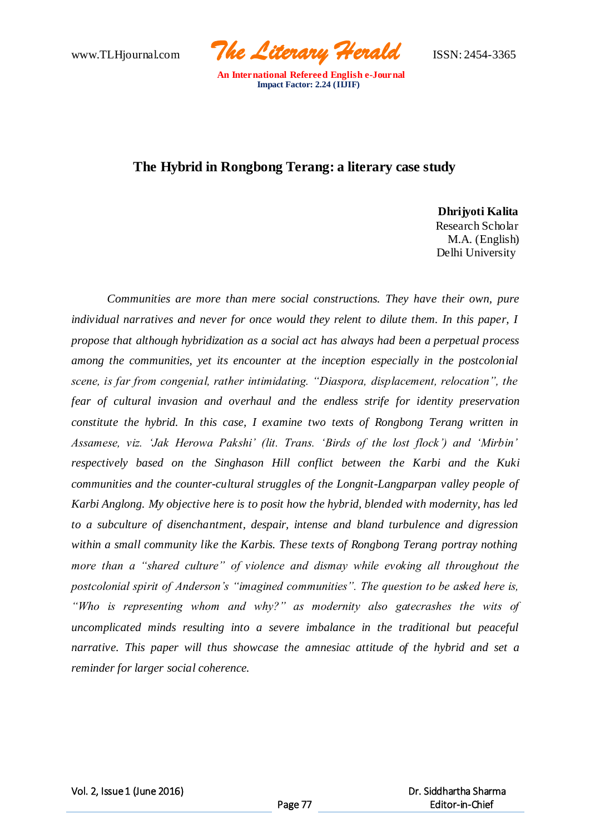www.TLHjournal.com *The Literary Herald*ISSN: 2454-3365

## **The Hybrid in Rongbong Terang: a literary case study**

 **Dhrijyoti Kalita**

Research Scholar M.A. (English) Delhi University

*Communities are more than mere social constructions. They have their own, pure*  individual narratives and never for once would they relent to dilute them. In this paper, I *propose that although hybridization as a social act has always had been a perpetual process among the communities, yet its encounter at the inception especially in the postcolonial scene, is far from congenial, rather intimidating. "Diaspora, displacement, relocation", the fear of cultural invasion and overhaul and the endless strife for identity preservation constitute the hybrid. In this case, I examine two texts of Rongbong Terang written in Assamese, viz. 'Jak Herowa Pakshi' (lit. Trans. 'Birds of the lost flock') and 'Mirbin' respectively based on the Singhason Hill conflict between the Karbi and the Kuki communities and the counter-cultural struggles of the Longnit-Langparpan valley people of Karbi Anglong. My objective here is to posit how the hybrid, blended with modernity, has led to a subculture of disenchantment, despair, intense and bland turbulence and digression within a small community like the Karbis. These texts of Rongbong Terang portray nothing more than a "shared culture" of violence and dismay while evoking all throughout the postcolonial spirit of Anderson's "imagined communities". The question to be asked here is, "Who is representing whom and why?" as modernity also gatecrashes the wits of uncomplicated minds resulting into a severe imbalance in the traditional but peaceful narrative. This paper will thus showcase the amnesiac attitude of the hybrid and set a reminder for larger social coherence.*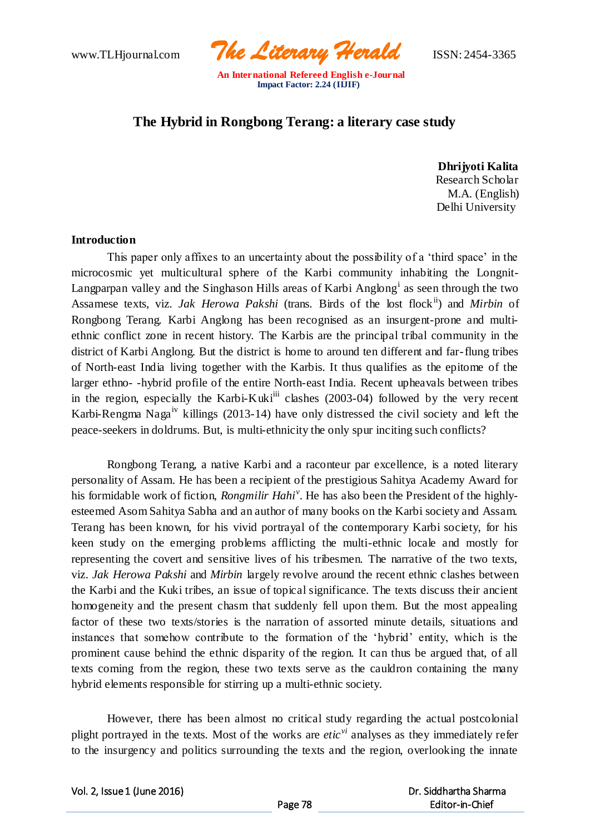www.TLHjournal.com *The Literary Herald*ISSN: 2454-3365

# **The Hybrid in Rongbong Terang: a literary case study**

 **Dhrijyoti Kalita** Research Scholar M.A. (English) Delhi University

#### **Introduction**

This paper only affixes to an uncertainty about the possibility of a 'third space' in the microcosmic yet multicultural sphere of the Karbi community inhabiting the Longnit-Langparpan valley and the Singhason Hills areas of Karbi Anglong<sup>i</sup> as seen through the two Assamese texts, viz. *Jak Herowa Pakshi* (trans. Birds of the lost flock<sup>ii</sup>) and *Mirbin* of Rongbong Terang*.* Karbi Anglong has been recognised as an insurgent-prone and multiethnic conflict zone in recent history. The Karbis are the principal tribal community in the district of Karbi Anglong. But the district is home to around ten different and far-flung tribes of North-east India living together with the Karbis. It thus qualifies as the epitome of the larger ethno- -hybrid profile of the entire North-east India. Recent upheavals between tribes in the region, especially the Karbi-Kuki<sup>iii</sup> clashes  $(2003-04)$  followed by the very recent Karbi-Rengma Nagaiv killings (2013-14) have only distressed the civil society and left the peace-seekers in doldrums. But, is multi-ethnicity the only spur inciting such conflicts?

Rongbong Terang, a native Karbi and a raconteur par excellence, is a noted literary personality of Assam. He has been a recipient of the prestigious Sahitya Academy Award for his formidable work of fiction, *Rongmilir Hahi<sup>v</sup>* . He has also been the President of the highlyesteemed Asom Sahitya Sabha and an author of many books on the Karbi society and Assam. Terang has been known, for his vivid portrayal of the contemporary Karbi society, for his keen study on the emerging problems afflicting the multi-ethnic locale and mostly for representing the covert and sensitive lives of his tribesmen. The narrative of the two texts, viz. *Jak Herowa Pakshi* and *Mirbin* largely revolve around the recent ethnic clashes between the Karbi and the Kuki tribes, an issue of topical significance. The texts discuss their ancient homogeneity and the present chasm that suddenly fell upon them. But the most appealing factor of these two texts/stories is the narration of assorted minute details, situations and instances that somehow contribute to the formation of the 'hybrid' entity, which is the prominent cause behind the ethnic disparity of the region. It can thus be argued that, of all texts coming from the region, these two texts serve as the cauldron containing the many hybrid elements responsible for stirring up a multi-ethnic society.

However, there has been almost no critical study regarding the actual postcolonial plight portrayed in the texts. Most of the works are *eticvi* analyses as they immediately refer to the insurgency and politics surrounding the texts and the region, overlooking the innate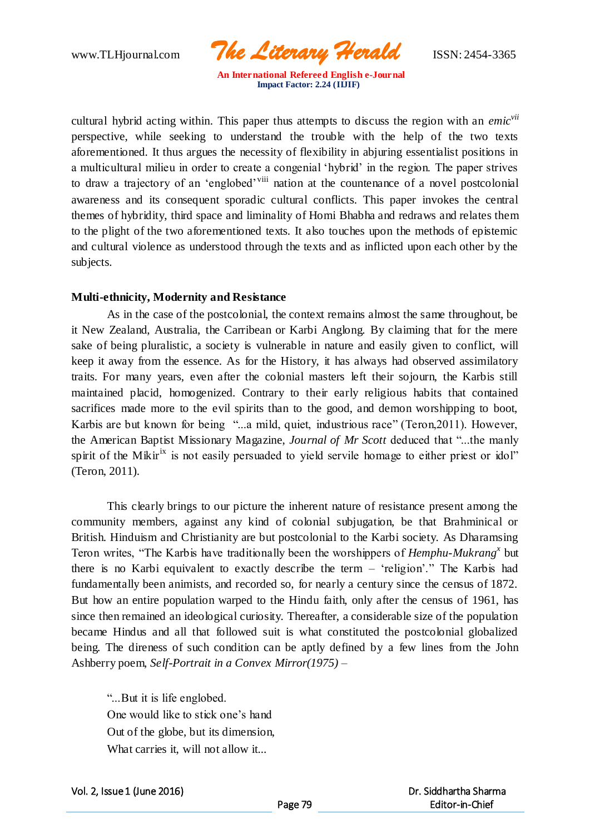www.TLHjournal.com *The Literary Herald*ISSN: 2454-3365

cultural hybrid acting within. This paper thus attempts to discuss the region with an *emicvii* perspective, while seeking to understand the trouble with the help of the two texts aforementioned. It thus argues the necessity of flexibility in abjuring essentialist positions in a multicultural milieu in order to create a congenial 'hybrid' in the region. The paper strives to draw a trajectory of an 'englobed'<sup>viii</sup> nation at the countenance of a novel postcolonial awareness and its consequent sporadic cultural conflicts. This paper invokes the central themes of hybridity, third space and liminality of Homi Bhabha and redraws and relates them to the plight of the two aforementioned texts. It also touches upon the methods of epistemic and cultural violence as understood through the texts and as inflicted upon each other by the subjects.

## **Multi-ethnicity, Modernity and Resistance**

As in the case of the postcolonial, the context remains almost the same throughout, be it New Zealand, Australia, the Carribean or Karbi Anglong. By claiming that for the mere sake of being pluralistic, a society is vulnerable in nature and easily given to conflict, will keep it away from the essence. As for the History, it has always had observed assimilatory traits. For many years, even after the colonial masters left their sojourn, the Karbis still maintained placid, homogenized. Contrary to their early religious habits that contained sacrifices made more to the evil spirits than to the good, and demon worshipping to boot, Karbis are but known for being "...a mild, quiet, industrious race" (Teron,2011). However, the American Baptist Missionary Magazine, *Journal of Mr Scott* deduced that "...the manly spirit of the Mikir<sup>ix</sup> is not easily persuaded to yield servile homage to either priest or idol" (Teron, 2011).

This clearly brings to our picture the inherent nature of resistance present among the community members, against any kind of colonial subjugation, be that Brahminical or British. Hinduism and Christianity are but postcolonial to the Karbi society. As Dharamsing Teron writes, "The Karbis have traditionally been the worshippers of *Hemphu-Mukrang<sup>x</sup>* but there is no Karbi equivalent to exactly describe the term – 'religion'." The Karbis had fundamentally been animists, and recorded so, for nearly a century since the census of 1872. But how an entire population warped to the Hindu faith, only after the census of 1961, has since then remained an ideological curiosity. Thereafter, a considerable size of the population became Hindus and all that followed suit is what constituted the postcolonial globalized being. The direness of such condition can be aptly defined by a few lines from the John Ashberry poem, *Self-Portrait in a Convex Mirror(1975)* –

"...But it is life englobed. One would like to stick one's hand Out of the globe, but its dimension, What carries it, will not allow it...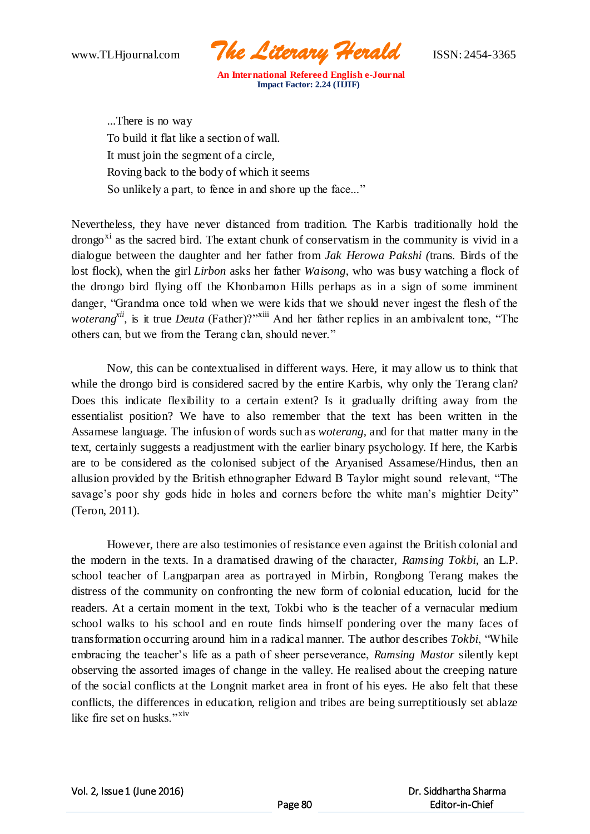www.TLHjournal.com *The Literary Herald*ISSN: 2454-3365

...There is no way To build it flat like a section of wall. It must join the segment of a circle, Roving back to the body of which it seems So unlikely a part, to fence in and shore up the face..."

Nevertheless, they have never distanced from tradition. The Karbis traditionally hold the drongo<sup>xi</sup> as the sacred bird. The extant chunk of conservatism in the community is vivid in a dialogue between the daughter and her father from *Jak Herowa Pakshi (*trans. Birds of the lost flock), when the girl *Lirbon* asks her father *Waisong*, who was busy watching a flock of the drongo bird flying off the Khonbamon Hills perhaps as in a sign of some imminent danger, "Grandma once told when we were kids that we should never ingest the flesh of the *woterang*<sup>*xii*</sup>, is it true *Deuta* (Father)?"<sup>xiii</sup> And her father replies in an ambivalent tone, "The others can, but we from the Terang clan, should never."

Now, this can be contextualised in different ways. Here, it may allow us to think that while the drongo bird is considered sacred by the entire Karbis, why only the Terang clan? Does this indicate flexibility to a certain extent? Is it gradually drifting away from the essentialist position? We have to also remember that the text has been written in the Assamese language. The infusion of words such as *woterang,* and for that matter many in the text, certainly suggests a readjustment with the earlier binary psychology. If here, the Karbis are to be considered as the colonised subject of the Aryanised Assamese/Hindus, then an allusion provided by the British ethnographer Edward B Taylor might sound relevant, "The savage's poor shy gods hide in holes and corners before the white man's mightier Deity" (Teron, 2011).

However, there are also testimonies of resistance even against the British colonial and the modern in the texts. In a dramatised drawing of the character, *Ramsing Tokbi*, an L.P. school teacher of Langparpan area as portrayed in Mirbin*,* Rongbong Terang makes the distress of the community on confronting the new form of colonial education, lucid for the readers. At a certain moment in the text, Tokbi who is the teacher of a vernacular medium school walks to his school and en route finds himself pondering over the many faces of transformation occurring around him in a radical manner. The author describes *Tokbi*, "While embracing the teacher's life as a path of sheer perseverance, *Ramsing Mastor* silently kept observing the assorted images of change in the valley. He realised about the creeping nature of the social conflicts at the Longnit market area in front of his eyes. He also felt that these conflicts, the differences in education, religion and tribes are being surreptitiously set ablaze like fire set on husks."<sup>xiv</sup>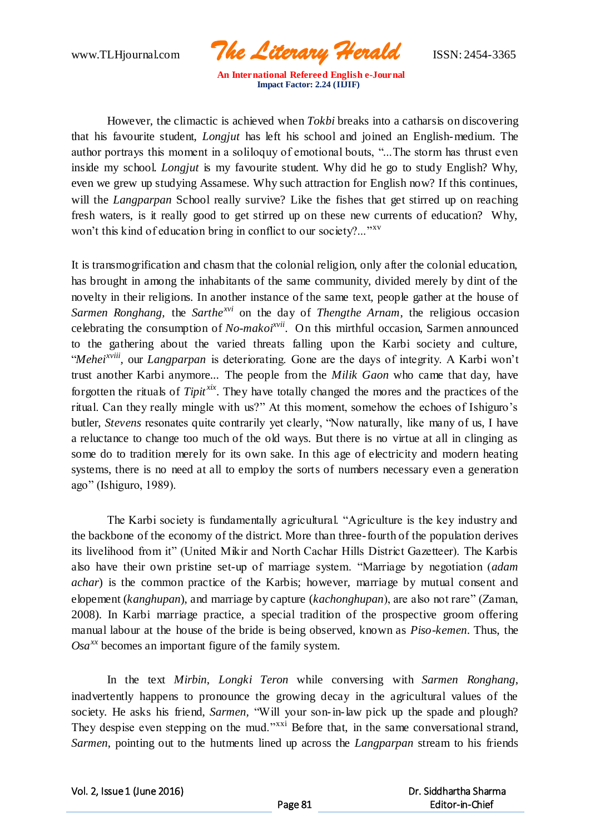www.TLHjournal.com *The Literary Herald*ISSN: 2454-3365

However, the climactic is achieved when *Tokbi* breaks into a catharsis on discovering that his favourite student, *Longjut* has left his school and joined an English-medium. The author portrays this moment in a soliloquy of emotional bouts, "...The storm has thrust even inside my school. *Longjut* is my favourite student. Why did he go to study English? Why, even we grew up studying Assamese. Why such attraction for English now? If this continues, will the *Langparpan* School really survive? Like the fishes that get stirred up on reaching fresh waters, is it really good to get stirred up on these new currents of education? Why, won't this kind of education bring in conflict to our society?..."<sup>xv</sup>

It is transmogrification and chasm that the colonial religion, only after the colonial education, has brought in among the inhabitants of the same community, divided merely by dint of the novelty in their religions. In another instance of the same text, people gather at the house of *Sarmen Ronghang,* the *Sarthexvi* on the day of *Thengthe Arnam*, the religious occasion celebrating the consumption of *No-makoixvii*. On this mirthful occasion, Sarmen announced to the gathering about the varied threats falling upon the Karbi society and culture, "*Meheixviii ,* our *Langparpan* is deteriorating. Gone are the days of integrity. A Karbi won't trust another Karbi anymore... The people from the *Milik Gaon* who came that day, have forgotten the rituals of *Tipit xix*. They have totally changed the mores and the practices of the ritual. Can they really mingle with us?" At this moment, somehow the echoes of Ishiguro's butler, *Stevens* resonates quite contrarily yet clearly, "Now naturally, like many of us, I have a reluctance to change too much of the old ways. But there is no virtue at all in clinging as some do to tradition merely for its own sake. In this age of electricity and modern heating systems, there is no need at all to employ the sorts of numbers necessary even a generation ago" (Ishiguro, 1989).

The Karbi society is fundamentally agricultural. "Agriculture is the key industry and the backbone of the economy of the district. More than three-fourth of the population derives its livelihood from it" (United Mikir and North Cachar Hills District Gazetteer). The Karbis also have their own pristine set-up of marriage system. "Marriage by negotiation (*adam achar*) is the common practice of the Karbis; however, marriage by mutual consent and elopement (*kanghupan*), and marriage by capture (*kachonghupan*), are also not rare" (Zaman, 2008). In Karbi marriage practice, a special tradition of the prospective groom offering manual labour at the house of the bride is being observed, known as *Piso-kemen*. Thus, the  $Osa^{xx}$  becomes an important figure of the family system.

In the text *Mirbin*, *Longki Teron* while conversing with *Sarmen Ronghang*, inadvertently happens to pronounce the growing decay in the agricultural values of the society. He asks his friend, *Sarmen,* "Will your son-in-law pick up the spade and plough? They despise even stepping on the mud."<sup>xxi</sup> Before that, in the same conversational strand, *Sarmen*, pointing out to the hutments lined up across the *Langparpan* stream to his friends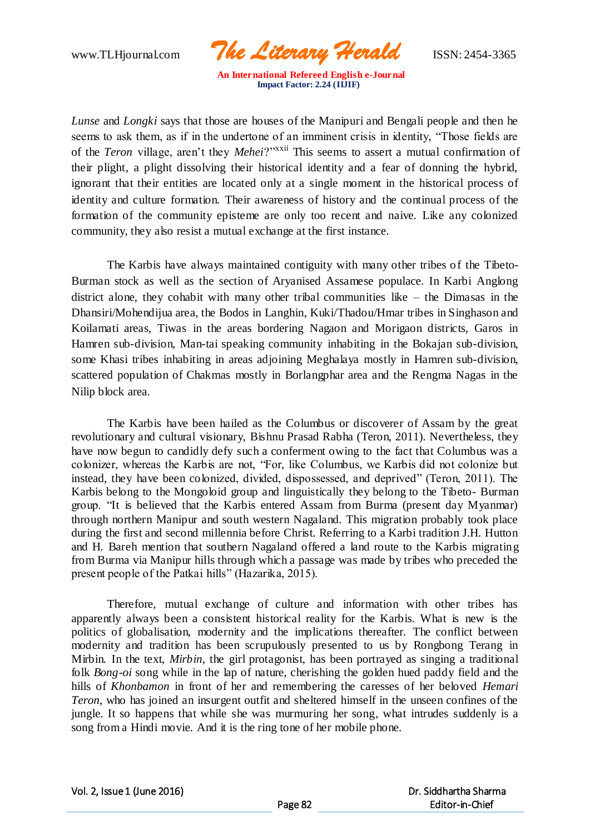www.TLHjournal.com *The Literary Herald*ISSN: 2454-3365

*Lunse* and *Longki* says that those are houses of the Manipuri and Bengali people and then he seems to ask them, as if in the undertone of an imminent crisis in identity, "Those fields are of the *Teron* village, aren't they *Mehei*?"xxii This seems to assert a mutual confirmation of their plight, a plight dissolving their historical identity and a fear of donning the hybrid, ignorant that their entities are located only at a single moment in the historical process of identity and culture formation. Their awareness of history and the continual process of the formation of the community episteme are only too recent and naive. Like any colonized community, they also resist a mutual exchange at the first instance.

The Karbis have always maintained contiguity with many other tribes of the Tibeto-Burman stock as well as the section of Aryanised Assamese populace. In Karbi Anglong district alone, they cohabit with many other tribal communities like – the Dimasas in the Dhansiri/Mohendijua area, the Bodos in Langhin, Kuki/Thadou/Hmar tribes in Singhason and Koilamati areas, Tiwas in the areas bordering Nagaon and Morigaon districts, Garos in Hamren sub-division, Man-tai speaking community inhabiting in the Bokajan sub-division, some Khasi tribes inhabiting in areas adjoining Meghalaya mostly in Hamren sub-division, scattered population of Chakmas mostly in Borlangphar area and the Rengma Nagas in the Nilip block area.

The Karbis have been hailed as the Columbus or discoverer of Assam by the great revolutionary and cultural visionary, Bishnu Prasad Rabha (Teron, 2011). Nevertheless, they have now begun to candidly defy such a conferment owing to the fact that Columbus was a colonizer, whereas the Karbis are not, "For, like Columbus, we Karbis did not colonize but instead, they have been colonized, divided, dispossessed, and deprived" (Teron, 2011). The Karbis belong to the Mongoloid group and linguistically they belong to the Tibeto- Burman group. "It is believed that the Karbis entered Assam from Burma (present day Myanmar) through northern Manipur and south western Nagaland. This migration probably took place during the first and second millennia before Christ. Referring to a Karbi tradition J.H. Hutton and H. Bareh mention that southern Nagaland offered a land route to the Karbis migrating from Burma via Manipur hills through which a passage was made by tribes who preceded the present people of the Patkai hills" (Hazarika, 2015).

Therefore, mutual exchange of culture and information with other tribes has apparently always been a consistent historical reality for the Karbis. What is new is the politics of globalisation, modernity and the implications thereafter. The conflict between modernity and tradition has been scrupulously presented to us by Rongbong Terang in Mirbin. In the text, *Mirbin*, the girl protagonist, has been portrayed as singing a traditional folk *Bong-oi* song while in the lap of nature, cherishing the golden hued paddy field and the hills of *Khonbamon* in front of her and remembering the caresses of her beloved *Hemari Teron*, who has joined an insurgent outfit and sheltered himself in the unseen confines of the jungle. It so happens that while she was murmuring her song, what intrudes suddenly is a song from a Hindi movie. And it is the ring tone of her mobile phone.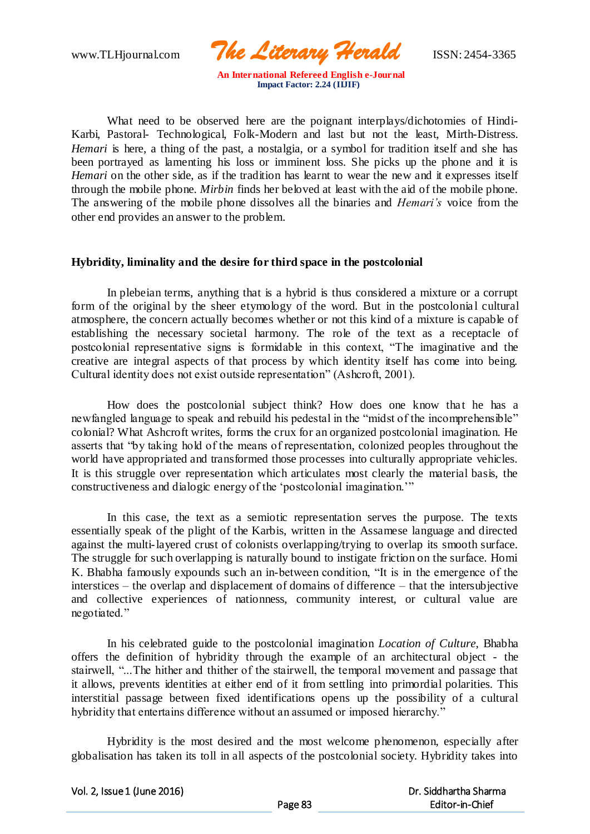www.TLHjournal.com *The Literary Herald*ISSN: 2454-3365

What need to be observed here are the poignant interplays/dichotomies of Hindi-Karbi, Pastoral- Technological, Folk-Modern and last but not the least, Mirth-Distress. *Hemari* is here, a thing of the past, a nostalgia, or a symbol for tradition itself and she has been portrayed as lamenting his loss or imminent loss. She picks up the phone and it is *Hemari* on the other side, as if the tradition has learnt to wear the new and it expresses itself through the mobile phone. *Mirbin* finds her beloved at least with the aid of the mobile phone. The answering of the mobile phone dissolves all the binaries and *Hemari's* voice from the other end provides an answer to the problem.

#### **Hybridity, liminality and the desire for third space in the postcolonial**

In plebeian terms, anything that is a hybrid is thus considered a mixture or a corrupt form of the original by the sheer etymology of the word. But in the postcolonial cultural atmosphere, the concern actually becomes whether or not this kind of a mixture is capable of establishing the necessary societal harmony. The role of the text as a receptacle of postcolonial representative signs is formidable in this context, "The imaginative and the creative are integral aspects of that process by which identity itself has come into being. Cultural identity does not exist outside representation" (Ashcroft, 2001).

How does the postcolonial subject think? How does one know that he has a newfangled language to speak and rebuild his pedestal in the "midst of the incomprehensible" colonial? What Ashcroft writes, forms the crux for an organized postcolonial imagination. He asserts that "by taking hold of the means of representation, colonized peoples throughout the world have appropriated and transformed those processes into culturally appropriate vehicles. It is this struggle over representation which articulates most clearly the material basis, the constructiveness and dialogic energy of the 'postcolonial imagination.'"

In this case, the text as a semiotic representation serves the purpose. The texts essentially speak of the plight of the Karbis, written in the Assamese language and directed against the multi-layered crust of colonists overlapping/trying to overlap its smooth surface. The struggle for such overlapping is naturally bound to instigate friction on the surface. Homi K. Bhabha famously expounds such an in-between condition, "It is in the emergence of the interstices – the overlap and displacement of domains of difference – that the intersubjective and collective experiences of nationness, community interest, or cultural value are negotiated."

In his celebrated guide to the postcolonial imagination *Location of Culture,* Bhabha offers the definition of hybridity through the example of an architectural object - the stairwell, "...The hither and thither of the stairwell, the temporal movement and passage that it allows, prevents identities at either end of it from settling into primordial polarities. This interstitial passage between fixed identifications opens up the possibility of a cultural hybridity that entertains difference without an assumed or imposed hierarchy."

Hybridity is the most desired and the most welcome phenomenon, especially after globalisation has taken its toll in all aspects of the postcolonial society. Hybridity takes into

Vol. 2, Issue 1 (June 2016)

 Dr. Siddhartha Sharma Editor-in-Chief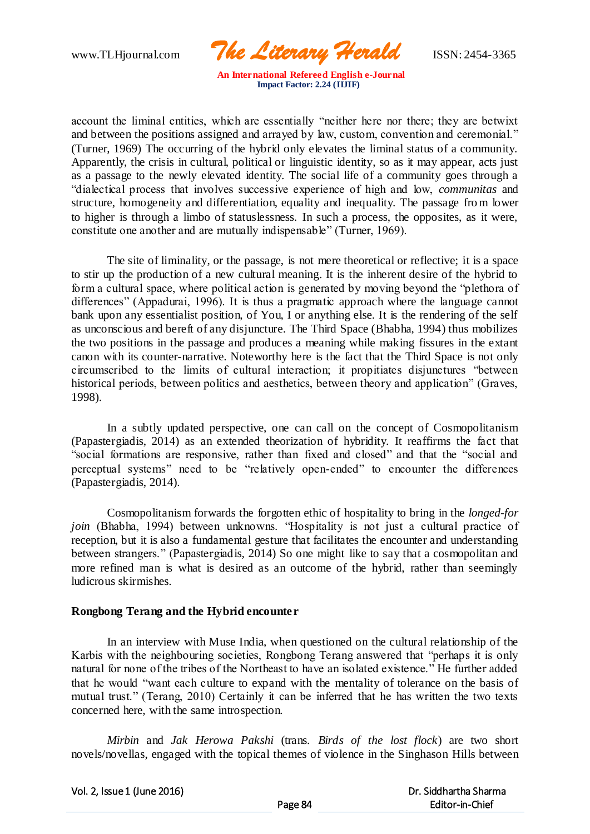www.TLHjournal.com *The Literary Herald*ISSN: 2454-3365

account the liminal entities, which are essentially "neither here nor there; they are betwixt and between the positions assigned and arrayed by law, custom, convention and ceremonial." (Turner, 1969) The occurring of the hybrid only elevates the liminal status of a community. Apparently, the crisis in cultural, political or linguistic identity, so as it may appear, acts just as a passage to the newly elevated identity. The social life of a community goes through a "dialectical process that involves successive experience of high and low, *communitas* and structure, homogeneity and differentiation, equality and inequality. The passage from lower to higher is through a limbo of statuslessness. In such a process, the opposites, as it were, constitute one another and are mutually indispensable" (Turner, 1969).

The site of liminality, or the passage, is not mere theoretical or reflective; it is a space to stir up the production of a new cultural meaning. It is the inherent desire of the hybrid to form a cultural space, where political action is generated by moving beyond the "plethora of differences" (Appadurai, 1996). It is thus a pragmatic approach where the language cannot bank upon any essentialist position, of You, I or anything else. It is the rendering of the self as unconscious and bereft of any disjuncture. The Third Space (Bhabha, 1994) thus mobilizes the two positions in the passage and produces a meaning while making fissures in the extant canon with its counter-narrative. Noteworthy here is the fact that the Third Space is not only circumscribed to the limits of cultural interaction; it propitiates disjunctures "between historical periods, between politics and aesthetics, between theory and application" (Graves, 1998).

In a subtly updated perspective, one can call on the concept of Cosmopolitanism (Papastergiadis, 2014) as an extended theorization of hybridity. It reaffirms the fact that "social formations are responsive, rather than fixed and closed" and that the "social and perceptual systems" need to be "relatively open-ended" to encounter the differences (Papastergiadis, 2014).

Cosmopolitanism forwards the forgotten ethic of hospitality to bring in the *longed-for join* (Bhabha, 1994) between unknowns. "Hospitality is not just a cultural practice of reception, but it is also a fundamental gesture that facilitates the encounter and understanding between strangers." (Papastergiadis*,* 2014) So one might like to say that a cosmopolitan and more refined man is what is desired as an outcome of the hybrid, rather than seemingly ludicrous skirmishes.

## **Rongbong Terang and the Hybrid encounter**

In an interview with Muse India, when questioned on the cultural relationship of the Karbis with the neighbouring societies, Rongbong Terang answered that "perhaps it is only natural for none of the tribes of the Northeast to have an isolated existence." He further added that he would "want each culture to expand with the mentality of tolerance on the basis of mutual trust." (Terang, 2010) Certainly it can be inferred that he has written the two texts concerned here, with the same introspection.

*Mirbin* and *Jak Herowa Pakshi* (trans. *Birds of the lost flock*) are two short novels/novellas, engaged with the topical themes of violence in the Singhason Hills between

Vol. 2, Issue 1 (June 2016)

 Dr. Siddhartha Sharma Editor-in-Chief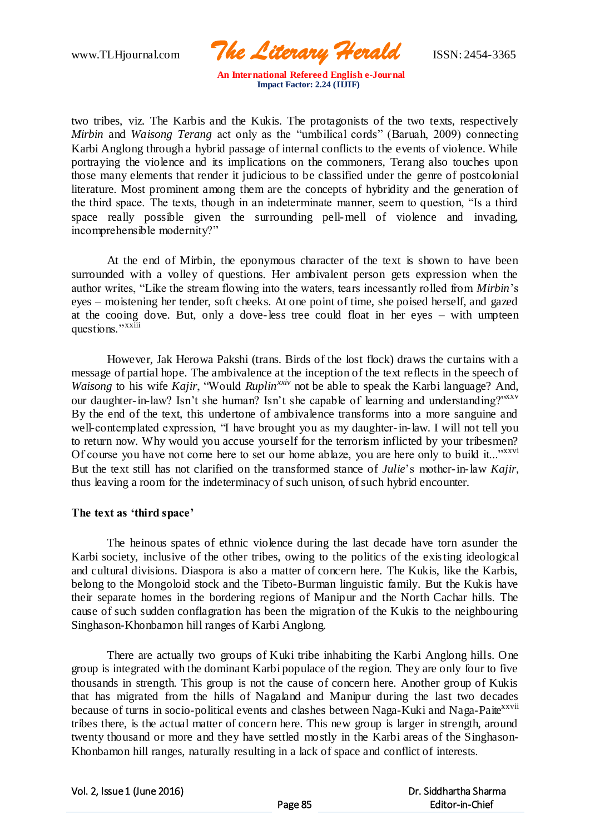www.TLHjournal.com *The Literary Herald*ISSN: 2454-3365

two tribes, viz. The Karbis and the Kukis. The protagonists of the two texts, respectively *Mirbin* and *Waisong Terang* act only as the "umbilical cords" (Baruah, 2009) connecting Karbi Anglong through a hybrid passage of internal conflicts to the events of violence. While portraying the violence and its implications on the commoners, Terang also touches upon those many elements that render it judicious to be classified under the genre of postcolonial literature. Most prominent among them are the concepts of hybridity and the generation of the third space. The texts, though in an indeterminate manner, seem to question, "Is a third space really possible given the surrounding pell-mell of violence and invading, incomprehensible modernity?"

At the end of Mirbin, the eponymous character of the text is shown to have been surrounded with a volley of questions. Her ambivalent person gets expression when the author writes, "Like the stream flowing into the waters, tears incessantly rolled from *Mirbin*'s eyes – moistening her tender, soft cheeks. At one point of time, she poised herself, and gazed at the cooing dove. But, only a dove-less tree could float in her eyes – with umpteen questions."<sup>xxiii</sup>

However, Jak Herowa Pakshi (trans. Birds of the lost flock) draws the curtains with a message of partial hope. The ambivalence at the inception of the text reflects in the speech of *Waisong* to his wife *Kajir*, "Would *Ruplin<sup>xxiv</sup>* not be able to speak the Karbi language? And, our daughter-in-law? Isn't she human? Isn't she capable of learning and understanding?"<sup>xxv</sup> By the end of the text, this undertone of ambivalence transforms into a more sanguine and well-contemplated expression, "I have brought you as my daughter-in-law. I will not tell you to return now. Why would you accuse yourself for the terrorism inflicted by your tribesmen? Of course you have not come here to set our home ablaze, you are here only to build it..."xxvi But the text still has not clarified on the transformed stance of *Julie*'s mother-in-law *Kajir*, thus leaving a room for the indeterminacy of such unison, of such hybrid encounter.

## **The text as 'third space'**

The heinous spates of ethnic violence during the last decade have torn asunder the Karbi society, inclusive of the other tribes, owing to the politics of the existing ideological and cultural divisions. Diaspora is also a matter of concern here. The Kukis, like the Karbis, belong to the Mongoloid stock and the Tibeto-Burman linguistic family. But the Kukis have their separate homes in the bordering regions of Manipur and the North Cachar hills. The cause of such sudden conflagration has been the migration of the Kukis to the neighbouring Singhason-Khonbamon hill ranges of Karbi Anglong.

There are actually two groups of Kuki tribe inhabiting the Karbi Anglong hills. One group is integrated with the dominant Karbi populace of the region. They are only four to five thousands in strength. This group is not the cause of concern here. Another group of Kukis that has migrated from the hills of Nagaland and Manipur during the last two decades because of turns in socio-political events and clashes between Naga-Kuki and Naga-Paite<sup>xxvii</sup> tribes there, is the actual matter of concern here. This new group is larger in strength, around twenty thousand or more and they have settled mostly in the Karbi areas of the Singhason-Khonbamon hill ranges, naturally resulting in a lack of space and conflict of interests.

Vol. 2, Issue 1 (June 2016)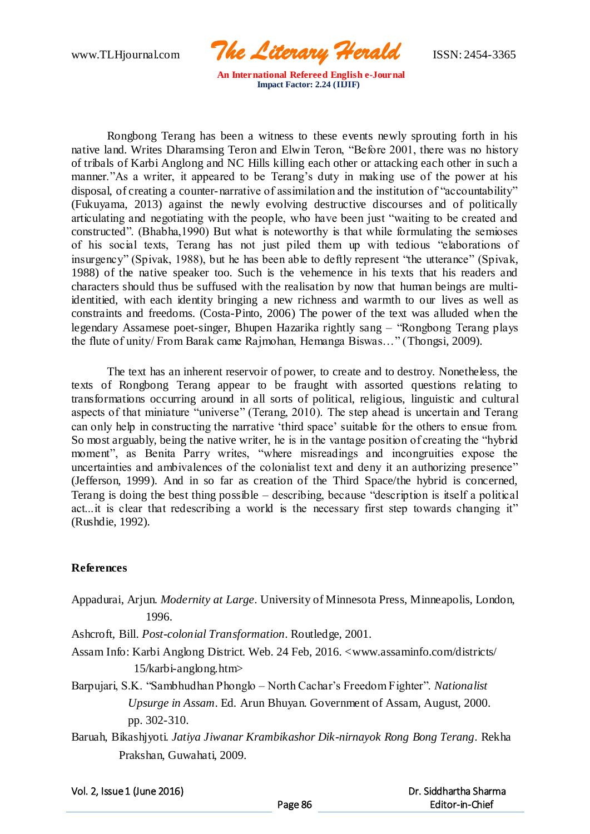www.TLHjournal.com *The Literary Herald*ISSN: 2454-3365

Rongbong Terang has been a witness to these events newly sprouting forth in his native land. Writes Dharamsing Teron and Elwin Teron, "Before 2001, there was no history of tribals of Karbi Anglong and NC Hills killing each other or attacking each other in such a manner."As a writer, it appeared to be Terang's duty in making use of the power at his disposal, of creating a counter-narrative of assimilation and the institution of "accountability" (Fukuyama, 2013) against the newly evolving destructive discourses and of politically articulating and negotiating with the people, who have been just "waiting to be created and constructed". (Bhabha,1990) But what is noteworthy is that while formulating the semioses of his social texts, Terang has not just piled them up with tedious "elaborations of insurgency" (Spivak, 1988), but he has been able to deftly represent "the utterance" (Spivak, 1988) of the native speaker too. Such is the vehemence in his texts that his readers and characters should thus be suffused with the realisation by now that human beings are multiidentitied, with each identity bringing a new richness and warmth to our lives as well as constraints and freedoms. (Costa-Pinto, 2006) The power of the text was alluded when the legendary Assamese poet-singer, Bhupen Hazarika rightly sang – "Rongbong Terang plays the flute of unity/ From Barak came Rajmohan, Hemanga Biswas…" (Thongsi, 2009).

The text has an inherent reservoir of power, to create and to destroy. Nonetheless, the texts of Rongbong Terang appear to be fraught with assorted questions relating to transformations occurring around in all sorts of political, religious, linguistic and cultural aspects of that miniature "universe" (Terang, 2010). The step ahead is uncertain and Terang can only help in constructing the narrative 'third space' suitable for the others to ensue from. So most arguably, being the native writer, he is in the vantage position of creating the "hybrid moment", as Benita Parry writes, "where misreadings and incongruities expose the uncertainties and ambivalences of the colonialist text and deny it an authorizing presence" (Jefferson, 1999). And in so far as creation of the Third Space/the hybrid is concerned, Terang is doing the best thing possible – describing, because "description is itself a political act...it is clear that redescribing a world is the necessary first step towards changing it" (Rushdie, 1992).

## **References**

Appadurai, Arjun. *Modernity at Large*. University of Minnesota Press, Minneapolis, London, 1996.

Ashcroft, Bill. *Post-colonial Transformation*. Routledge, 2001.

- Assam Info: Karbi Anglong District. Web. 24 Feb, 2016. <www.assaminfo.com/districts/ 15/karbi-anglong.htm>
- Barpujari, S.K. "Sambhudhan Phonglo North Cachar's Freedom Fighter". *Nationalist Upsurge in Assam*. Ed. Arun Bhuyan. Government of Assam, August, 2000. pp. 302-310.
- Baruah, Bikashjyoti. *Jatiya Jiwanar Krambikashor Dik-nirnayok Rong Bong Terang*. Rekha Prakshan, Guwahati, 2009.

Vol. 2, Issue 1 (June 2016)

 Dr. Siddhartha Sharma Editor-in-Chief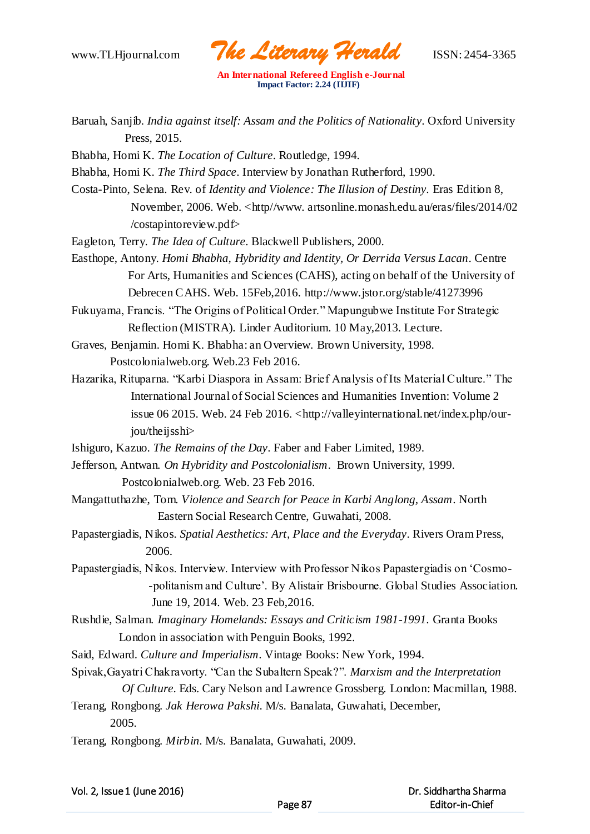www.TLHjournal.com *The Literary Herald*ISSN: 2454-3365

Baruah, Sanjib. *India against itself: Assam and the Politics of Nationality*. Oxford University Press, 2015.

Bhabha, Homi K. *The Location of Culture*. Routledge, 1994.

- Bhabha, Homi K. *The Third Space*. Interview by Jonathan Rutherford, 1990.
- Costa-Pinto, Selena. Rev. of *Identity and Violence: The Illusion of Destiny*. Eras Edition 8, November, 2006. Web. <http//www. artsonline.monash.edu.au/eras/files/2014/02 /costapintoreview.pdf>
- Eagleton, Terry. *The Idea of Culture*. Blackwell Publishers, 2000.
- Easthope, Antony. *Homi Bhabha, Hybridity and Identity, Or Derrida Versus Lacan*. Centre For Arts, Humanities and Sciences (CAHS), acting on behalf of the University of Debrecen CAHS. Web. 15Feb,2016. http://www.jstor.org/stable/41273996
- Fukuyama, Francis. "The Origins of Political Order." Mapungubwe Institute For Strategic Reflection (MISTRA). Linder Auditorium. 10 May,2013. Lecture.
- Graves, Benjamin. Homi K. Bhabha: an Overview. Brown University, 1998. Postcolonialweb.org. Web.23 Feb 2016.
- Hazarika, Rituparna. "Karbi Diaspora in Assam: Brief Analysis of Its Material Culture." The International Journal of Social Sciences and Humanities Invention: Volume 2 issue 06 2015. Web. 24 Feb 2016.  $\langle$ http://valleyinternational.net/index.php/ourjou/theijsshi>
- Ishiguro, Kazuo. *The Remains of the Day*. Faber and Faber Limited, 1989.
- Jefferson, Antwan. *On Hybridity and Postcolonialism*. Brown University, 1999. Postcolonialweb.org. Web. 23 Feb 2016.
- Mangattuthazhe, Tom. *Violence and Search for Peace in Karbi Anglong, Assam*. North Eastern Social Research Centre, Guwahati, 2008.
- Papastergiadis, Nikos. *Spatial Aesthetics: Art, Place and the Everyday*. Rivers Oram Press, 2006.
- Papastergiadis, Nikos. Interview. Interview with Professor Nikos Papastergiadis on 'Cosmo- -politanism and Culture'. By Alistair Brisbourne. Global Studies Association. June 19, 2014. Web. 23 Feb,2016.
- Rushdie, Salman. *Imaginary Homelands: Essays and Criticism 1981-1991*. Granta Books London in association with Penguin Books, 1992.
- Said, Edward. *Culture and Imperialism*. Vintage Books: New York, 1994.
- Spivak,Gayatri Chakravorty. "Can the Subaltern Speak?". *Marxism and the Interpretation Of Culture*. Eds. Cary Nelson and Lawrence Grossberg. London: Macmillan, 1988.
- Terang, Rongbong. *Jak Herowa Pakshi*. M/s. Banalata, Guwahati, December, 2005.
- Terang, Rongbong. *Mirbin*. M/s. Banalata, Guwahati, 2009.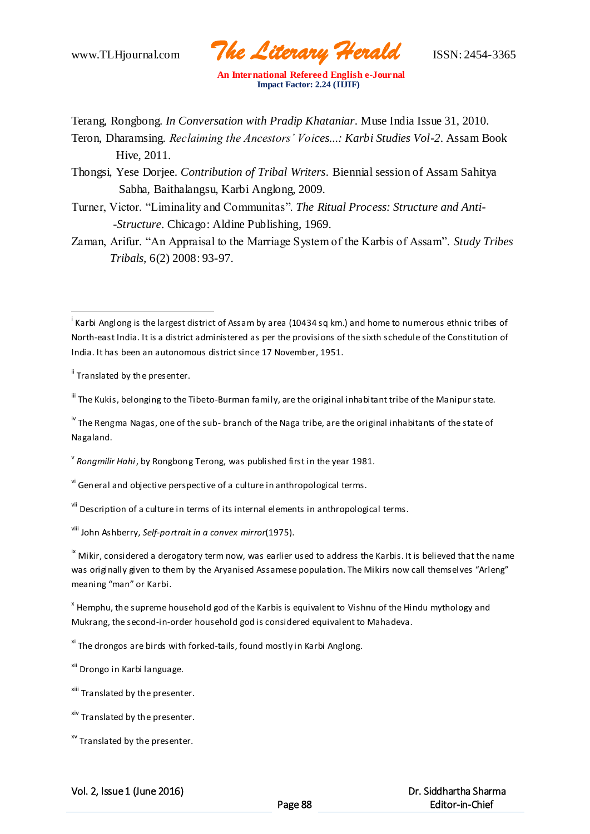www.TLHjournal.com *The Literary Herald*ISSN: 2454-3365

Terang, Rongbong. *In Conversation with Pradip Khataniar*. Muse India Issue 31, 2010.

Teron, Dharamsing. *Reclaiming the Ancestors' Voices...: Karbi Studies Vol-2*. Assam Book Hive, 2011.

Thongsi, Yese Dorjee. *Contribution of Tribal Writers*. Biennial session of Assam Sahitya Sabha, Baithalangsu, Karbi Anglong, 2009.

Turner, Victor. "Liminality and Communitas". *The Ritual Process: Structure and Anti- -Structure*. Chicago: Aldine Publishing, 1969.

Zaman, Arifur. "An Appraisal to the Marriage System of the Karbis of Assam". *Study Tribes Tribals*, 6(2) 2008: 93-97.

<sup>ii</sup> Translated by the presenter.

 $\overline{a}$ 

III The Kukis, belonging to the Tibeto-Burman family, are the original inhabitant tribe of the Manipur state.

<sup>iv</sup> The Rengma Nagas, one of the sub- branch of the Naga tribe, are the original inhabitants of the state of Nagaland.

v *Rongmilir Hahi*, by Rongbong Terong, was published first in the year 1981.

<sup>vi</sup> General and objective perspective of a culture in anthropological terms.

vii Description of a culture in terms of its internal elements in anthropological terms.

viii John Ashberry, *Self-portrait in a convex mirror*(1975).

<sup>ix</sup> Mikir, considered a derogatory term now, was earlier used to address the Karbis. It is believed that the name was originally given to them by the Aryanised Assamese population. The Mikirs now call themselves "Arleng" meaning "man" or Karbi.

 $^{\texttt{x}}$  Hemphu, the supreme household god of the Karbis is equivalent to Vishnu of the Hindu mythology and Mukrang, the second-in-order household god is considered equivalent to Mahadeva.

 $x<sup>i</sup>$  The drongos are birds with forked-tails, found mostly in Karbi Anglong.

<sup>xii</sup> Drongo in Karbi language.

<sup>xiii</sup> Translated by the presenter.

<sup>xiv</sup> Translated by the presenter.

<sup>xv</sup> Translated by the presenter.

Vol. 2, Issue 1 (June 2016)

<sup>&</sup>lt;sup>i</sup> Karbi Anglong is the largest district of Assam by area (10434 sq km.) and home to numerous ethnic tribes of North-east India. It is a district administered as per the provisions of the sixth schedule of the Constitution of India. It has been an autonomous district since 17 November, 1951.